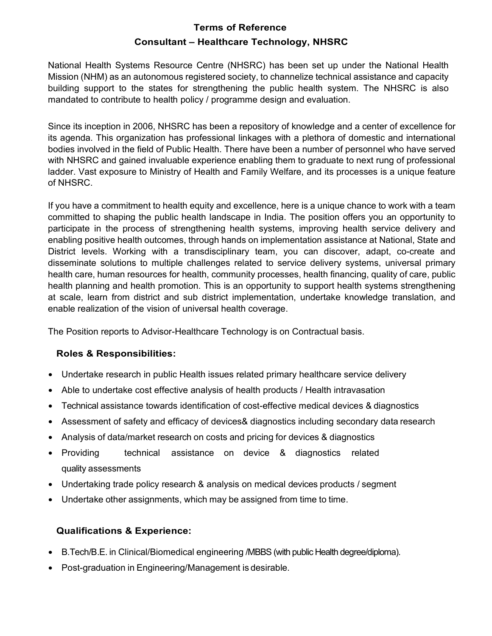# Terms of Reference Consultant – Healthcare Technology, NHSRC

National Health Systems Resource Centre (NHSRC) has been set up under the National Health Mission (NHM) as an autonomous registered society, to channelize technical assistance and capacity building support to the states for strengthening the public health system. The NHSRC is also mandated to contribute to health policy / programme design and evaluation.

Since its inception in 2006, NHSRC has been a repository of knowledge and a center of excellence for its agenda. This organization has professional linkages with a plethora of domestic and international bodies involved in the field of Public Health. There have been a number of personnel who have served with NHSRC and gained invaluable experience enabling them to graduate to next rung of professional ladder. Vast exposure to Ministry of Health and Family Welfare, and its processes is a unique feature of NHSRC.

If you have a commitment to health equity and excellence, here is a unique chance to work with a team committed to shaping the public health landscape in India. The position offers you an opportunity to participate in the process of strengthening health systems, improving health service delivery and enabling positive health outcomes, through hands on implementation assistance at National, State and District levels. Working with a transdisciplinary team, you can discover, adapt, co-create and disseminate solutions to multiple challenges related to service delivery systems, universal primary health care, human resources for health, community processes, health financing, quality of care, public health planning and health promotion. This is an opportunity to support health systems strengthening at scale, learn from district and sub district implementation, undertake knowledge translation, and enable realization of the vision of universal health coverage.

The Position reports to Advisor-Healthcare Technology is on Contractual basis.

## Roles & Responsibilities:

- Undertake research in public Health issues related primary healthcare service delivery
- Able to undertake cost effective analysis of health products / Health intravasation
- Technical assistance towards identification of cost-effective medical devices & diagnostics
- Assessment of safety and efficacy of devices& diagnostics including secondary data research
- Analysis of data/market research on costs and pricing for devices & diagnostics
- Providing technical assistance on device & diagnostics related quality assessments
- Undertaking trade policy research & analysis on medical devices products / segment
- Undertake other assignments, which may be assigned from time to time.

## Qualifications & Experience:

- B.Tech/B.E. in Clinical/Biomedical engineering /MBBS (with public Health degree/diploma).
- Post-graduation in Engineering/Management is desirable.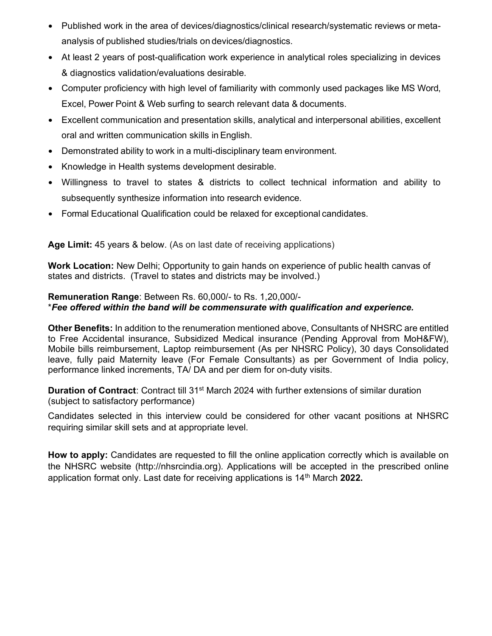- Published work in the area of devices/diagnostics/clinical research/systematic reviews or metaanalysis of published studies/trials on devices/diagnostics.
- At least 2 years of post-qualification work experience in analytical roles specializing in devices & diagnostics validation/evaluations desirable.
- Computer proficiency with high level of familiarity with commonly used packages like MS Word, Excel, Power Point & Web surfing to search relevant data & documents.
- Excellent communication and presentation skills, analytical and interpersonal abilities, excellent oral and written communication skills in English.
- Demonstrated ability to work in a multi-disciplinary team environment.
- Knowledge in Health systems development desirable.
- Willingness to travel to states & districts to collect technical information and ability to subsequently synthesize information into research evidence.
- Formal Educational Qualification could be relaxed for exceptional candidates.

Age Limit: 45 years & below. (As on last date of receiving applications)

Work Location: New Delhi; Opportunity to gain hands on experience of public health canvas of states and districts. (Travel to states and districts may be involved.)

## Remuneration Range: Between Rs. 60,000/- to Rs. 1,20,000/- \*Fee offered within the band will be commensurate with qualification and experience.

Other Benefits: In addition to the renumeration mentioned above, Consultants of NHSRC are entitled to Free Accidental insurance, Subsidized Medical insurance (Pending Approval from MoH&FW), Mobile bills reimbursement, Laptop reimbursement (As per NHSRC Policy), 30 days Consolidated leave, fully paid Maternity leave (For Female Consultants) as per Government of India policy, performance linked increments, TA/ DA and per diem for on-duty visits.

**Duration of Contract:** Contract till 31<sup>st</sup> March 2024 with further extensions of similar duration (subject to satisfactory performance)

Candidates selected in this interview could be considered for other vacant positions at NHSRC requiring similar skill sets and at appropriate level.

How to apply: Candidates are requested to fill the online application correctly which is available on the NHSRC website (http://nhsrcindia.org). Applications will be accepted in the prescribed online application format only. Last date for receiving applications is  $14<sup>th</sup>$  March 2022.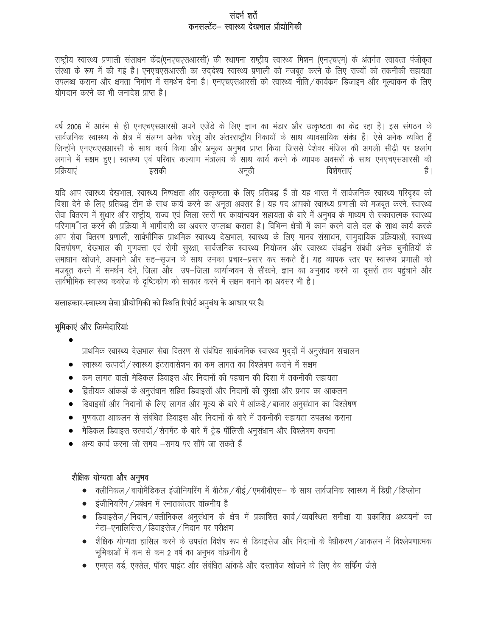#### संदर्भ शर्तें कनसल्टेंट– स्वास्थ्य देखभाल प्रौद्योगिकी

राष्ट्रीय स्वास्थ्य प्रणाली संसाधन केंद्र(एनएचएसआरसी) की स्थापना राष्ट्रीय स्वास्थ्य मिशन (एनएचएम) के अंतर्गत स्वायत्त पंजीकृत संस्था के रूप में की गई है। एनएचएसआरसी का उददेश्य स्वास्थ्य प्रणाली को मजबूत करने के लिए राज्यों को तकनीकी सहायता उपलब्ध कराना और क्षमता निर्माण में समर्थन देना है। एनएचएसआरसी को स्वास्थ्य नीति / कार्यक्रम डिजाइन और मुल्यांकन के लिए योगदान करने का भी जनादेश प्राप्त है।

वर्ष 2006 में आरंभ से ही एनएचएसआरसी अपने एजेंडे के लिए ज्ञान का भंडार और उत्कृष्टता का केंद्र रहा है। इस संगठन के सार्वजनिक स्वास्थ्य के क्षेत्र में संलग्न अनेक घरेलू और अंतरराष्ट्रीय निकायों के साथ व्यावसायिक संबंध हैं। ऐसे अनेक व्यक्ति हैं जिन्होंने एनएचएसआरसी के साथ कार्य किया और अमूल्य अनुभव प्राप्त किया जिससे पेशेवर मंजिल की अगली सीढ़ी पर छलांग लगाने में सक्षम हुए। स्वास्थ्य एवं परिवार कल्याण मंत्रालय के साथ कार्य करने के व्यापक अवसरों के साथ एनएचएसआरसी की प्रक्रियाएं इसकी विशेषताएं हैं। अनूठी

यदि आप स्वास्थ्य देखभाल, स्वास्थ्य निष्पक्षता और उत्कृष्टता के लिए प्रतिबद्ध हैं तो यह भारत में सार्वजनिक स्वास्थ्य परिदृश्य को दिशा देने के लिए प्रतिबद्ध टीम के साथ कार्य करने का अनूठा अवसर है। यह पद आपको स्वास्थ्य प्रणाली को मजबूत करने, स्वास्थ्य सेवा वितरण में सुधार और राष्ट्रीय, राज्य एवं जिला स्तरों पर कार्यान्वयन सहायता के बारे में अनुभव के माध्यम से सकारात्मक स्वास्थ्य परिणामाँ प्त करने की प्रक्रिया में भागीदारी का अवसर उपलब्ध कराता है। विभिन्न क्षेत्रों में काम करने वाले दल के साथ कार्य करके आप सेवा वितरण प्रणाली, सार्वभौमिक प्राथमिक स्वास्थ्य देखभाल, स्वास्थ्य के लिए मानव संसाधन, सामुदायिक प्रक्रियाओं, स्वास्थ्य वित्तपोषण, देखभाल की गुणवत्ता एवं रोगी सुरक्षा, सार्वजनिक स्वास्थ्य नियोजन और स्वास्थ्य संवर्द्धन संबंधी अनेक चुनौतियों के समाधान खोजने, अपनाने और सह-सृजन के साथ उनका प्रचार-प्रसार कर सकते हैं। यह व्यापक स्तर पर स्वास्थ्य प्रणाली को मजबूत करने में समर्थन देने, जिला और उप–जिला कार्यान्वयन से सीखने, ज्ञान का अनुवाद करने या दूसरों तक पहुंचाने और सार्वभौमिक स्वास्थ्य कवरेज के दृष्टिकोण को साकार करने में सक्षम बनाने का अवसर भी है।

सलाहकार-स्वास्थ्य सेवा प्रौद्योगिकी को स्थिति रिपोर्ट अनुबंध के आधार पर है।

## भूमिकाएं और जिम्मेदारियांः

 $\bullet$ 

- प्राथमिक स्वास्थ्य देखभाल सेवा वितरण से संबंधित सार्वजनिक स्वास्थ्य मुद्दों में अनुसंधान संचालन
- रवास्थ्य उत्पादों / स्वास्थ्य इंटरावासेशन का कम लागत का विश्लेषण कराने में सक्षम
- कम लागत वाली मेडिकल डिवाइस और निदानों की पहचान की दिशा में तकनीकी सहायता  $\bullet$
- द्वितीयक आंकड़ों के अनुसंधान सहित डिवाइसों और निदानों की सुरक्षा और प्रभाव का आकलन
- डिवाइसों और निदानों के लिए लागत और मूल्य के बारे में आंकडे / बाजार अनुसंधान का विश्लेषण  $\bullet$
- गुणवत्ता आकलन से संबंधित डिवाइस और निदानों के बारे में तकनीकी सहायता उपलब्ध कराना
- मेडिकल डिवाइस उत्पादों / सेगमेंट के बारे में ट्रेड पॉलिसी अनुसंधान और विश्लेषण कराना
- अन्य कार्य करना जो समय –समय पर सौंपे जा सकते हैं

#### शैक्षिक योग्यता और अनुभव

- क्लीनिकल / बायोमैडिकल इंजीनियरिंग में बीटेक / बीई / एमबीबीएस— के साथ सार्वजनिक स्वास्थ्य में डिग्री / डिप्लोमा
- इंजीनियरिंग / प्रबंधन में स्नातकोत्तर वांछनीय है  $\bullet$
- डिवाइसेज / निदान / क्लीनिकल अनुसंधान के क्षेत्र में प्रकाशित कार्य / व्यवस्थित समीक्षा या प्रकाशित अध्ययनों का मेटा-एनालिसिस / डिवाइसेज / निदान पर परीक्षण
- शैक्षिक योग्यता हासिल करने के उपरांत विशेष रूप से डिवाइसेज और निदानों के वैधीकरण/आकलन में विश्लेषणात्मक  $\bullet$ भूमिकाओं में कम से कम 2 वर्ष का अनुभव वांछनीय है
- ्एमएस वर्ड, एक्सेल, पॉवर पाइंट और संबंधित आंकड़े और दस्तावेज खोजने के लिए वेब सर्फिंग जैसे